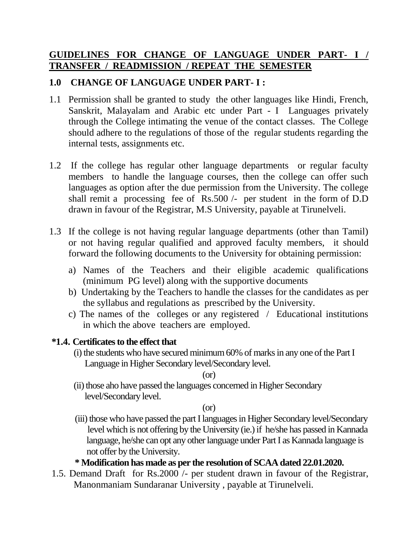### **GUIDELINES FOR CHANGE OF LANGUAGE UNDER PART- I / TRANSFER / READMISSION / REPEAT THE SEMESTER**

# **1.0 CHANGE OF LANGUAGE UNDER PART- I :**

- 1.1 Permission shall be granted to study the other languages like Hindi, French, Sanskrit, Malayalam and Arabic etc under Part - I Languages privately through the College intimating the venue of the contact classes. The College should adhere to the regulations of those of the regular students regarding the internal tests, assignments etc.
- 1.2 If the college has regular other language departments or regular faculty members to handle the language courses, then the college can offer such languages as option after the due permission from the University. The college shall remit a processing fee of Rs.500 /- per student in the form of D.D drawn in favour of the Registrar, M.S University, payable at Tirunelveli.
- 1.3 If the college is not having regular language departments (other than Tamil) or not having regular qualified and approved faculty members, it should forward the following documents to the University for obtaining permission:
	- a) Names of the Teachers and their eligible academic qualifications (minimum PG level) along with the supportive documents
	- b) Undertaking by the Teachers to handle the classes for the candidates as per the syllabus and regulations as prescribed by the University.
	- c) The names of the colleges or any registered / Educational institutions in which the above teachers are employed.

### **\*1.4. Certificates to the effect that**

(i) the students who have secured minimum 60% of marks in any one of the Part I Language in Higher Secondary level/Secondary level.

(or)

(ii) those aho have passed the languages concerned in Higher Secondary level/Secondary level.

(or)

(iii) those who have passed the part I languages in Higher Secondary level/Secondary level which is not offering by the University (ie.) if he/she has passed in Kannada language, he/she can opt any other language under Part I as Kannada language is not offer by the University.

## **\* Modification has made as per the resolution of SCAA dated 22.01.2020.**

1.5. Demand Draft for Rs.2000 /- per student drawn in favour of the Registrar, Manonmaniam Sundaranar University , payable at Tirunelveli.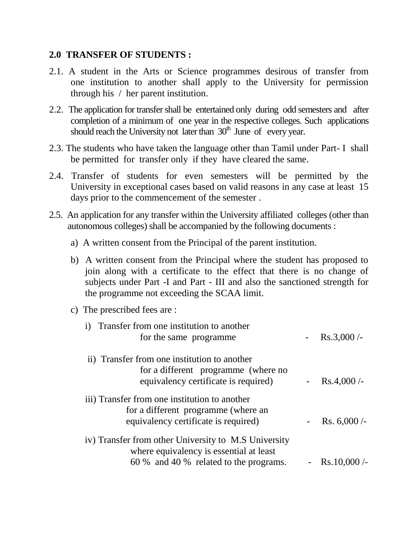#### **2.0 TRANSFER OF STUDENTS :**

- 2.1. A student in the Arts or Science programmes desirous of transfer from one institution to another shall apply to the University for permission through his / her parent institution.
- 2.2. The application for transfer shall be entertained only during odd semesters and after completion of a minimum of one year in the respective colleges. Such applications should reach the University not later than  $30<sup>th</sup>$  June of every year.
- 2.3. The students who have taken the language other than Tamil under Part- I shall be permitted for transfer only if they have cleared the same.
- 2.4. Transfer of students for even semesters will be permitted by the University in exceptional cases based on valid reasons in any case at least 15 days prior to the commencement of the semester .
- 2.5. An application for any transfer within the University affiliated colleges (other than autonomous colleges) shall be accompanied by the following documents :
	- a) A written consent from the Principal of the parent institution.
	- b) A written consent from the Principal where the student has proposed to join along with a certificate to the effect that there is no change of subjects under Part -I and Part - III and also the sanctioned strength for the programme not exceeding the SCAA limit.
	- c) The prescribed fees are :

| i) Transfer from one institution to another<br>for the same programme.                                                                    | $Rs.3,000/-$   |
|-------------------------------------------------------------------------------------------------------------------------------------------|----------------|
| ii) Transfer from one institution to another<br>for a different programme (where no<br>equivalency certificate is required)               | $Rs.4,000/-$   |
| iii) Transfer from one institution to another<br>for a different programme (where an<br>equivalency certificate is required)              | Rs. $6,000$ /- |
| iv) Transfer from other University to M.S University<br>where equivalency is essential at least<br>60 % and 40 % related to the programs. | Rs.10,000/     |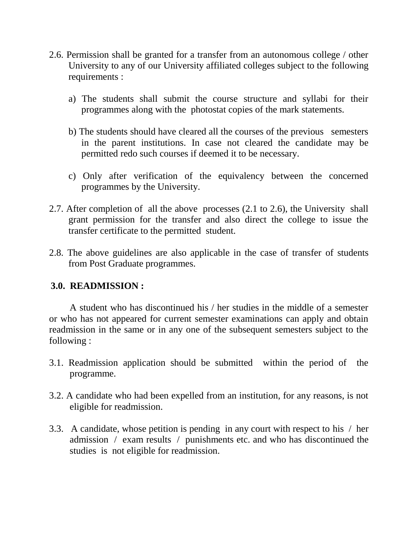- 2.6. Permission shall be granted for a transfer from an autonomous college / other University to any of our University affiliated colleges subject to the following requirements :
	- a) The students shall submit the course structure and syllabi for their programmes along with the photostat copies of the mark statements.
	- b) The students should have cleared all the courses of the previous semesters in the parent institutions. In case not cleared the candidate may be permitted redo such courses if deemed it to be necessary.
	- c) Only after verification of the equivalency between the concerned programmes by the University.
- 2.7. After completion of all the above processes (2.1 to 2.6), the University shall grant permission for the transfer and also direct the college to issue the transfer certificate to the permitted student.
- 2.8. The above guidelines are also applicable in the case of transfer of students from Post Graduate programmes.

### **3.0. READMISSION :**

A student who has discontinued his / her studies in the middle of a semester or who has not appeared for current semester examinations can apply and obtain readmission in the same or in any one of the subsequent semesters subject to the following :

- 3.1. Readmission application should be submitted within the period of the programme.
- 3.2. A candidate who had been expelled from an institution, for any reasons, is not eligible for readmission.
- 3.3. A candidate, whose petition is pending in any court with respect to his / her admission / exam results / punishments etc. and who has discontinued the studies is not eligible for readmission.